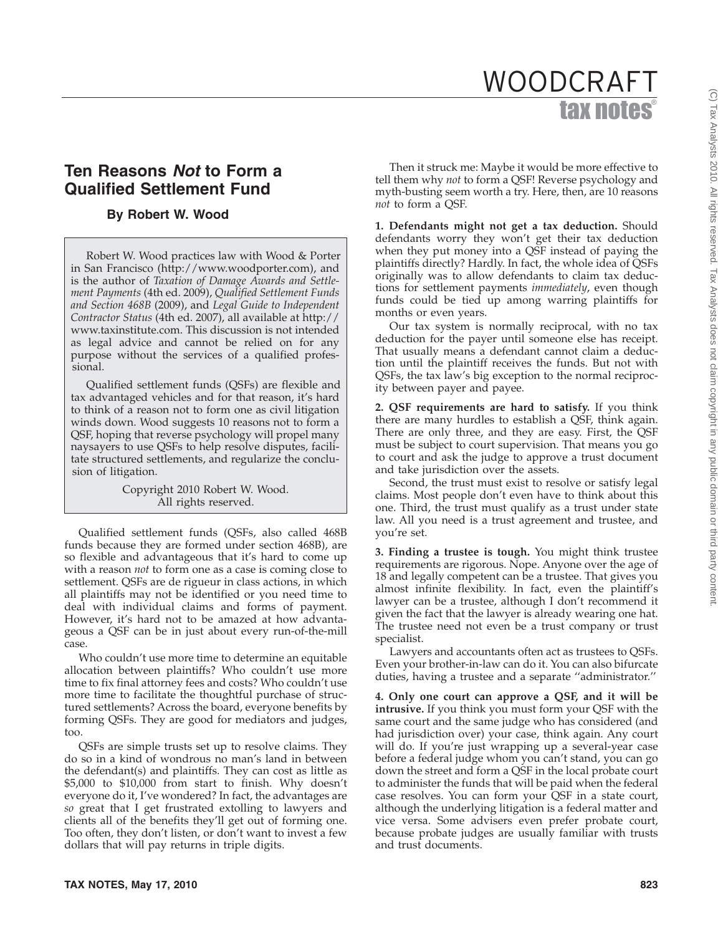## **Ten Reasons** *Not* **to Form a Qualified Settlement Fund**

## **By Robert W. Wood**

Robert W. Wood practices law with Wood & Porter in San Francisco (http://www.woodporter.com), and is the author of *Taxation of Damage Awards and Settlement Payments* (4th ed. 2009), *Qualified Settlement Funds and Section 468B* (2009), and *Legal Guide to Independent Contractor Status* (4th ed. 2007), all available at http:// www.taxinstitute.com. This discussion is not intended as legal advice and cannot be relied on for any purpose without the services of a qualified professional.

Qualified settlement funds (QSFs) are flexible and tax advantaged vehicles and for that reason, it's hard to think of a reason not to form one as civil litigation winds down. Wood suggests 10 reasons not to form a QSF, hoping that reverse psychology will propel many naysayers to use QSFs to help resolve disputes, facilitate structured settlements, and regularize the conclusion of litigation.

> Copyright 2010 Robert W. Wood. All rights reserved.

Qualified settlement funds (QSFs, also called 468B funds because they are formed under section 468B), are so flexible and advantageous that it's hard to come up with a reason *not* to form one as a case is coming close to settlement. QSFs are de rigueur in class actions, in which all plaintiffs may not be identified or you need time to deal with individual claims and forms of payment. However, it's hard not to be amazed at how advantageous a QSF can be in just about every run-of-the-mill case.

Who couldn't use more time to determine an equitable allocation between plaintiffs? Who couldn't use more time to fix final attorney fees and costs? Who couldn't use more time to facilitate the thoughtful purchase of structured settlements? Across the board, everyone benefits by forming QSFs. They are good for mediators and judges, too.

QSFs are simple trusts set up to resolve claims. They do so in a kind of wondrous no man's land in between the defendant(s) and plaintiffs. They can cost as little as \$5,000 to \$10,000 from start to finish. Why doesn't everyone do it, I've wondered? In fact, the advantages are *so* great that I get frustrated extolling to lawyers and clients all of the benefits they'll get out of forming one. Too often, they don't listen, or don't want to invest a few dollars that will pay returns in triple digits.

Then it struck me: Maybe it would be more effective to tell them why *not* to form a QSF! Reverse psychology and myth-busting seem worth a try. Here, then, are 10 reasons *not* to form a QSF.

**1. Defendants might not get a tax deduction.** Should defendants worry they won't get their tax deduction when they put money into a QSF instead of paying the plaintiffs directly? Hardly. In fact, the whole idea of QSFs originally was to allow defendants to claim tax deductions for settlement payments *immediately*, even though funds could be tied up among warring plaintiffs for months or even years.

Our tax system is normally reciprocal, with no tax deduction for the payer until someone else has receipt. That usually means a defendant cannot claim a deduction until the plaintiff receives the funds. But not with QSFs, the tax law's big exception to the normal reciprocity between payer and payee.

**2. QSF requirements are hard to satisfy.** If you think there are many hurdles to establish a QSF, think again. There are only three, and they are easy. First, the QSF must be subject to court supervision. That means you go to court and ask the judge to approve a trust document and take jurisdiction over the assets.

Second, the trust must exist to resolve or satisfy legal claims. Most people don't even have to think about this one. Third, the trust must qualify as a trust under state law. All you need is a trust agreement and trustee, and you're set.

**3. Finding a trustee is tough.** You might think trustee requirements are rigorous. Nope. Anyone over the age of 18 and legally competent can be a trustee. That gives you almost infinite flexibility. In fact, even the plaintiff's lawyer can be a trustee, although I don't recommend it given the fact that the lawyer is already wearing one hat. The trustee need not even be a trust company or trust specialist.

Lawyers and accountants often act as trustees to QSFs. Even your brother-in-law can do it. You can also bifurcate duties, having a trustee and a separate ''administrator.''

**4. Only one court can approve a QSF, and it will be intrusive.** If you think you must form your QSF with the same court and the same judge who has considered (and had jurisdiction over) your case, think again. Any court will do. If you're just wrapping up a several-year case before a federal judge whom you can't stand, you can go down the street and form a QSF in the local probate court to administer the funds that will be paid when the federal case resolves. You can form your QSF in a state court, although the underlying litigation is a federal matter and vice versa. Some advisers even prefer probate court, because probate judges are usually familiar with trusts and trust documents.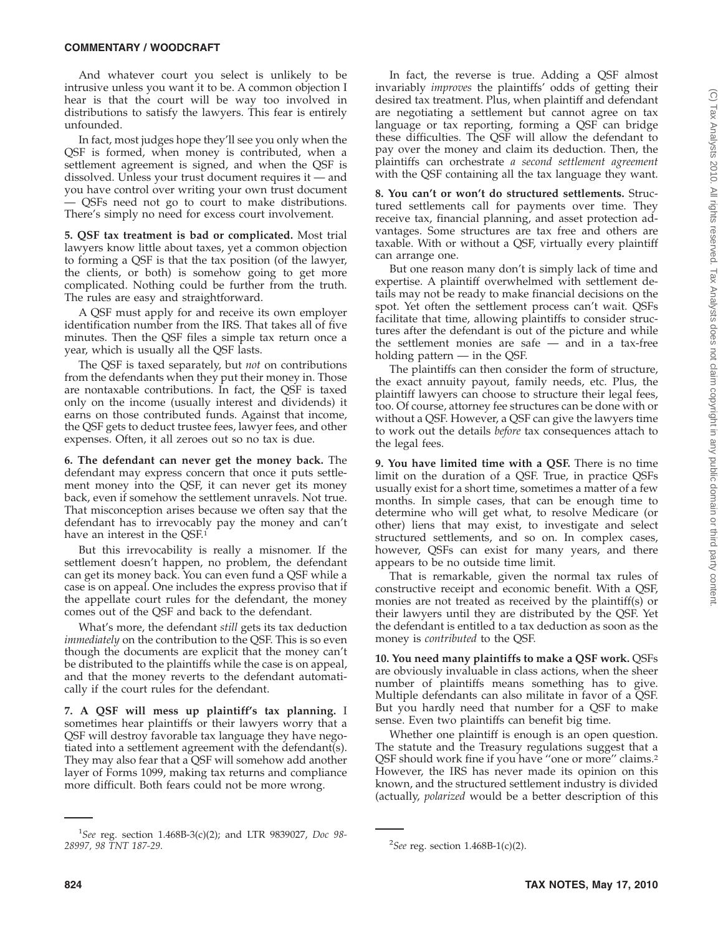And whatever court you select is unlikely to be intrusive unless you want it to be. A common objection I hear is that the court will be way too involved in distributions to satisfy the lawyers. This fear is entirely unfounded.

In fact, most judges hope they'll see you only when the QSF is formed, when money is contributed, when a settlement agreement is signed, and when the QSF is dissolved. Unless your trust document requires it — and you have control over writing your own trust document — QSFs need not go to court to make distributions. There's simply no need for excess court involvement.

**5. QSF tax treatment is bad or complicated.** Most trial lawyers know little about taxes, yet a common objection to forming a QSF is that the tax position (of the lawyer, the clients, or both) is somehow going to get more complicated. Nothing could be further from the truth. The rules are easy and straightforward.

A QSF must apply for and receive its own employer identification number from the IRS. That takes all of five minutes. Then the QSF files a simple tax return once a year, which is usually all the QSF lasts.

The QSF is taxed separately, but *not* on contributions from the defendants when they put their money in. Those are nontaxable contributions. In fact, the QSF is taxed only on the income (usually interest and dividends) it earns on those contributed funds. Against that income, the QSF gets to deduct trustee fees, lawyer fees, and other expenses. Often, it all zeroes out so no tax is due.

**6. The defendant can never get the money back.** The defendant may express concern that once it puts settlement money into the QSF, it can never get its money back, even if somehow the settlement unravels. Not true. That misconception arises because we often say that the defendant has to irrevocably pay the money and can't have an interest in the QSF.<sup>1</sup>

But this irrevocability is really a misnomer. If the settlement doesn't happen, no problem, the defendant can get its money back. You can even fund a QSF while a case is on appeal. One includes the express proviso that if the appellate court rules for the defendant, the money comes out of the QSF and back to the defendant.

What's more, the defendant *still* gets its tax deduction *immediately* on the contribution to the QSF. This is so even though the documents are explicit that the money can't be distributed to the plaintiffs while the case is on appeal, and that the money reverts to the defendant automatically if the court rules for the defendant.

**7. A QSF will mess up plaintiff's tax planning.** I sometimes hear plaintiffs or their lawyers worry that a QSF will destroy favorable tax language they have negotiated into a settlement agreement with the defendant(s). They may also fear that a QSF will somehow add another layer of Forms 1099, making tax returns and compliance more difficult. Both fears could not be more wrong.

In fact, the reverse is true. Adding a QSF almost invariably *improves* the plaintiffs' odds of getting their desired tax treatment. Plus, when plaintiff and defendant are negotiating a settlement but cannot agree on tax language or tax reporting, forming a QSF can bridge these difficulties. The QSF will allow the defendant to pay over the money and claim its deduction. Then, the plaintiffs can orchestrate *a second settlement agreement* with the QSF containing all the tax language they want.

**8. You can't or won't do structured settlements.** Structured settlements call for payments over time. They receive tax, financial planning, and asset protection advantages. Some structures are tax free and others are taxable. With or without a QSF, virtually every plaintiff can arrange one.

But one reason many don't is simply lack of time and expertise. A plaintiff overwhelmed with settlement details may not be ready to make financial decisions on the spot. Yet often the settlement process can't wait. QSFs facilitate that time, allowing plaintiffs to consider structures after the defendant is out of the picture and while the settlement monies are safe — and in a tax-free holding pattern — in the QSF.

The plaintiffs can then consider the form of structure, the exact annuity payout, family needs, etc. Plus, the plaintiff lawyers can choose to structure their legal fees, too. Of course, attorney fee structures can be done with or without a QSF. However, a QSF can give the lawyers time to work out the details *before* tax consequences attach to the legal fees.

**9. You have limited time with a QSF.** There is no time limit on the duration of a QSF. True, in practice QSFs usually exist for a short time, sometimes a matter of a few months. In simple cases, that can be enough time to determine who will get what, to resolve Medicare (or other) liens that may exist, to investigate and select structured settlements, and so on. In complex cases, however, QSFs can exist for many years, and there appears to be no outside time limit.

That is remarkable, given the normal tax rules of constructive receipt and economic benefit. With a QSF, monies are not treated as received by the plaintiff(s) or their lawyers until they are distributed by the QSF. Yet the defendant is entitled to a tax deduction as soon as the money is *contributed* to the QSF.

**10. You need many plaintiffs to make a QSF work.** QSFs are obviously invaluable in class actions, when the sheer number of plaintiffs means something has to give. Multiple defendants can also militate in favor of a QSF. But you hardly need that number for a QSF to make sense. Even two plaintiffs can benefit big time.

Whether one plaintiff is enough is an open question. The statute and the Treasury regulations suggest that a QSF should work fine if you have ''one or more'' claims.2 However, the IRS has never made its opinion on this known, and the structured settlement industry is divided (actually, *polarized* would be a better description of this

<sup>1</sup> *See* reg. section 1.468B-3(c)(2); and LTR 9839027, *Doc 98- 28997, 98 TNT 187-29*. <sup>2</sup>

*See* reg. section 1.468B-1(c)(2).